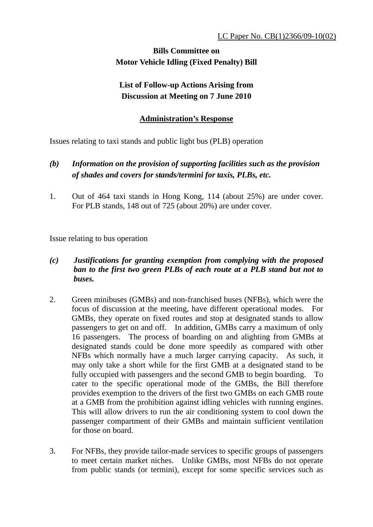## **Bills Committee on Motor Vehicle Idling (Fixed Penalty) Bill**

## **List of Follow-up Actions Arising from Discussion at Meeting on 7 June 2010**

## **Administration's Response**

Issues relating to taxi stands and public light bus (PLB) operation

- *(b) Information on the provision of supporting facilities such as the provision of shades and covers for stands/termini for taxis, PLBs, etc.*
- 1. Out of 464 taxi stands in Hong Kong, 114 (about 25%) are under cover. For PLB stands, 148 out of 725 (about 20%) are under cover.

Issue relating to bus operation

- *(c) Justifications for granting exemption from complying with the proposed ban to the first two green PLBs of each route at a PLB stand but not to buses.*
- 2. Green minibuses (GMBs) and non-franchised buses (NFBs), which were the focus of discussion at the meeting, have different operational modes. For GMBs, they operate on fixed routes and stop at designated stands to allow passengers to get on and off. In addition, GMBs carry a maximum of only 16 passengers. The process of boarding on and alighting from GMBs at designated stands could be done more speedily as compared with other NFBs which normally have a much larger carrying capacity. As such, it may only take a short while for the first GMB at a designated stand to be fully occupied with passengers and the second GMB to begin boarding. To cater to the specific operational mode of the GMBs, the Bill therefore provides exemption to the drivers of the first two GMBs on each GMB route at a GMB from the prohibition against idling vehicles with running engines. This will allow drivers to run the air conditioning system to cool down the passenger compartment of their GMBs and maintain sufficient ventilation for those on board.
- 3. For NFBs, they provide tailor-made services to specific groups of passengers to meet certain market niches. Unlike GMBs, most NFBs do not operate from public stands (or termini), except for some specific services such as